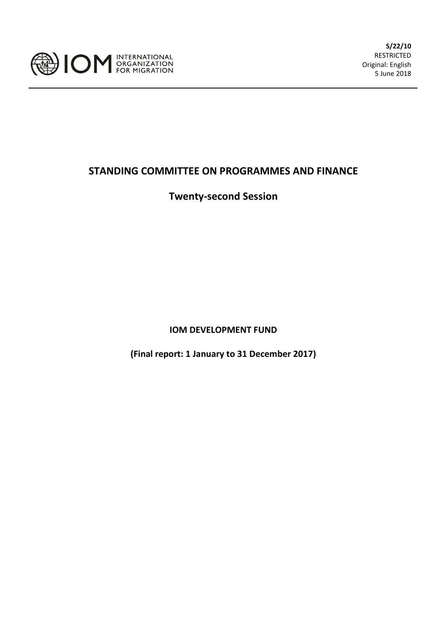

# **STANDING COMMITTEE ON PROGRAMMES AND FINANCE**

# **Twenty-second Session**

**IOM DEVELOPMENT FUND**

**(Final report: 1 January to 31 December 2017)**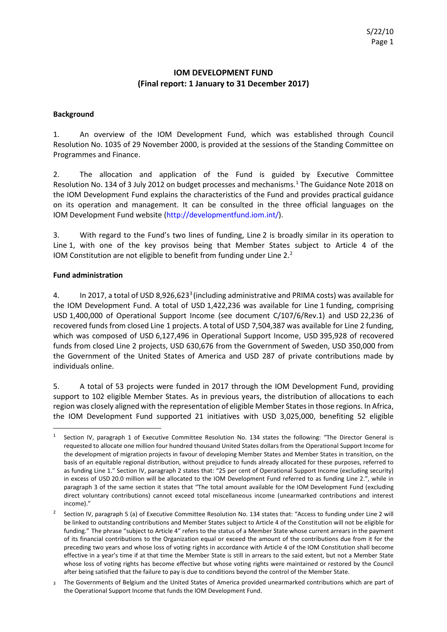### **IOM DEVELOPMENT FUND (Final report: 1 January to 31 December 2017)**

#### **Background**

1. An overview of the IOM Development Fund, which was established through Council Resolution No. 1035 of 29 November 2000, is provided at the sessions of the Standing Committee on Programmes and Finance.

2. The allocation and application of the Fund is guided by Executive Committee Resolution No. 134 of 3 July 2012 on budget processes and mechanisms. [1](#page-2-0) The Guidance Note 2018 on the IOM Development Fund explains the characteristics of the Fund and provides practical guidance on its operation and management. It can be consulted in the three official languages on the IOM Development Fund website [\(http://developmentfund.iom.int/\)](http://developmentfund.iom.int/).

3. With regard to the Fund's two lines of funding, Line 2 is broadly similar in its operation to Line 1, with one of the key provisos being that Member States subject to Article 4 of the IOM Constitution are not eligible to benefit from funding under Line [2](#page-2-1).<sup>2</sup>

#### **Fund administration**

4. In 2017, a total of USD 8,926,62[3](#page-2-2)<sup>3</sup> (including administrative and PRIMA costs) was available for the IOM Development Fund. A total of USD 1,422,236 was available for Line 1 funding, comprising USD 1,400,000 of Operational Support Income (see document C/107/6/Rev.1) and USD 22,236 of recovered funds from closed Line 1 projects. A total of USD 7,504,387 was available for Line 2 funding, which was composed of USD 6,127,496 in Operational Support Income, USD 395,928 of recovered funds from closed Line 2 projects, USD 630,676 from the Government of Sweden, USD 350,000 from the Government of the United States of America and USD 287 of private contributions made by individuals online.

5. A total of 53 projects were funded in 2017 through the IOM Development Fund, providing support to 102 eligible Member States. As in previous years, the distribution of allocations to each region was closely aligned with the representation of eligible Member States in those regions. In Africa, the IOM Development Fund supported 21 initiatives with USD 3,025,000, benefiting 52 eligible

<span id="page-2-0"></span>Section IV, paragraph 1 of Executive Committee Resolution No. 134 states the following: "The Director General is requested to allocate one million four hundred thousand United States dollars from the Operational Support Income for the development of migration projects in favour of developing Member States and Member States in transition, on the basis of an equitable regional distribution, without prejudice to funds already allocated for these purposes, referred to as funding Line 1." Section IV, paragraph 2 states that: "25 per cent of Operational Support Income (excluding security) in excess of USD 20.0 million will be allocated to the IOM Development Fund referred to as funding Line 2.", while in paragraph 3 of the same section it states that "The total amount available for the IOM Development Fund (excluding direct voluntary contributions) cannot exceed total miscellaneous income (unearmarked contributions and interest income)."

<span id="page-2-1"></span><sup>&</sup>lt;sup>2</sup> Section IV, paragraph 5 (a) of Executive Committee Resolution No. 134 states that: "Access to funding under Line 2 will be linked to outstanding contributions and Member States subject to Article 4 of the Constitution will not be eligible for funding." The phrase "subject to Article 4" refers to the status of a Member State whose current arrears in the payment of its financial contributions to the Organization equal or exceed the amount of the contributions due from it for the preceding two years and whose loss of voting rights in accordance with Article 4 of the IOM Constitution shall become effective in a year's time if at that time the Member State is still in arrears to the said extent, but not a Member State whose loss of voting rights has become effective but whose voting rights were maintained or restored by the Council after being satisfied that the failure to pay is due to conditions beyond the control of the Member State.

<span id="page-2-2"></span><sup>3</sup> The Governments of Belgium and the United States of America provided unearmarked contributions which are part of the Operational Support Income that funds the IOM Development Fund.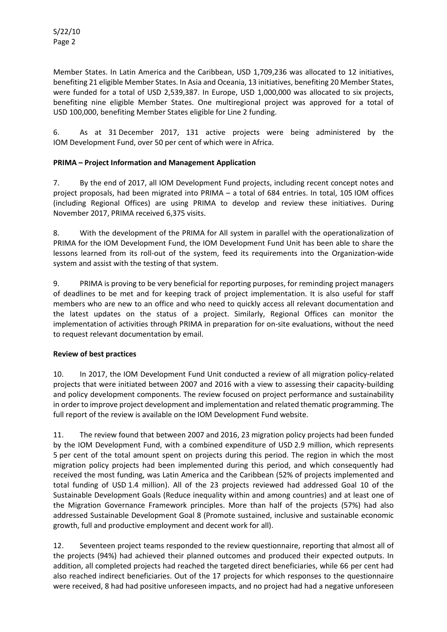Member States. In Latin America and the Caribbean, USD 1,709,236 was allocated to 12 initiatives, benefiting 21 eligible Member States. In Asia and Oceania, 13 initiatives, benefiting 20 Member States, were funded for a total of USD 2,539,387. In Europe, USD 1,000,000 was allocated to six projects, benefiting nine eligible Member States. One multiregional project was approved for a total of USD 100,000, benefiting Member States eligible for Line 2 funding.

6. As at 31 December 2017, 131 active projects were being administered by the IOM Development Fund, over 50 per cent of which were in Africa.

### **PRIMA – Project Information and Management Application**

7. By the end of 2017, all IOM Development Fund projects, including recent concept notes and project proposals, had been migrated into PRIMA – a total of 684 entries. In total, 105 IOM offices (including Regional Offices) are using PRIMA to develop and review these initiatives. During November 2017, PRIMA received 6,375 visits.

8. With the development of the PRIMA for All system in parallel with the operationalization of PRIMA for the IOM Development Fund, the IOM Development Fund Unit has been able to share the lessons learned from its roll-out of the system, feed its requirements into the Organization-wide system and assist with the testing of that system.

9. PRIMA is proving to be very beneficial for reporting purposes, for reminding project managers of deadlines to be met and for keeping track of project implementation. It is also useful for staff members who are new to an office and who need to quickly access all relevant documentation and the latest updates on the status of a project. Similarly, Regional Offices can monitor the implementation of activities through PRIMA in preparation for on-site evaluations, without the need to request relevant documentation by email.

### **Review of best practices**

10. In 2017, the IOM Development Fund Unit conducted a review of all migration policy-related projects that were initiated between 2007 and 2016 with a view to assessing their capacity-building and policy development components. The review focused on project performance and sustainability in order to improve project development and implementation and related thematic programming. The full report of the review is available on the IOM Development Fund website.

11. The review found that between 2007 and 2016, 23 migration policy projects had been funded by the IOM Development Fund, with a combined expenditure of USD 2.9 million, which represents 5 per cent of the total amount spent on projects during this period. The region in which the most migration policy projects had been implemented during this period, and which consequently had received the most funding, was Latin America and the Caribbean (52% of projects implemented and total funding of USD 1.4 million). All of the 23 projects reviewed had addressed Goal 10 of the Sustainable Development Goals (Reduce inequality within and among countries) and at least one of the Migration Governance Framework principles. More than half of the projects (57%) had also addressed Sustainable Development Goal 8 (Promote sustained, inclusive and sustainable economic growth, full and productive employment and decent work for all).

12. Seventeen project teams responded to the review questionnaire, reporting that almost all of the projects (94%) had achieved their planned outcomes and produced their expected outputs. In addition, all completed projects had reached the targeted direct beneficiaries, while 66 per cent had also reached indirect beneficiaries. Out of the 17 projects for which responses to the questionnaire were received, 8 had had positive unforeseen impacts, and no project had had a negative unforeseen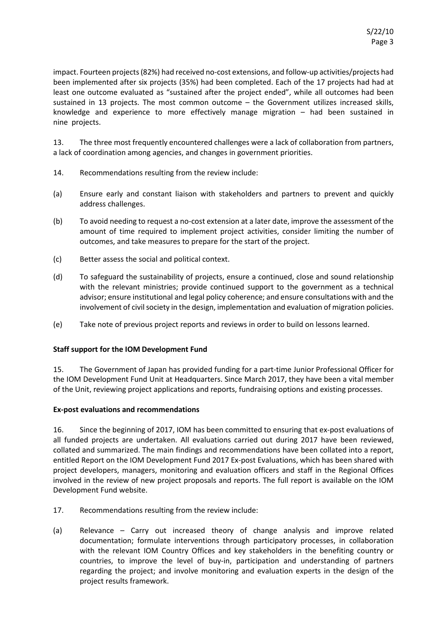impact. Fourteen projects (82%) had received no-cost extensions, and follow-up activities/projects had been implemented after six projects (35%) had been completed. Each of the 17 projects had had at least one outcome evaluated as "sustained after the project ended", while all outcomes had been sustained in 13 projects. The most common outcome – the Government utilizes increased skills, knowledge and experience to more effectively manage migration – had been sustained in nine projects.

13. The three most frequently encountered challenges were a lack of collaboration from partners, a lack of coordination among agencies, and changes in government priorities.

- 14. Recommendations resulting from the review include:
- (a) Ensure early and constant liaison with stakeholders and partners to prevent and quickly address challenges.
- (b) To avoid needing to request a no-cost extension at a later date, improve the assessment of the amount of time required to implement project activities, consider limiting the number of outcomes, and take measures to prepare for the start of the project.
- (c) Better assess the social and political context.
- (d) To safeguard the sustainability of projects, ensure a continued, close and sound relationship with the relevant ministries; provide continued support to the government as a technical advisor; ensure institutional and legal policy coherence; and ensure consultations with and the involvement of civil society in the design, implementation and evaluation of migration policies.
- (e) Take note of previous project reports and reviews in order to build on lessons learned.

### **Staff support for the IOM Development Fund**

15. The Government of Japan has provided funding for a part-time Junior Professional Officer for the IOM Development Fund Unit at Headquarters. Since March 2017, they have been a vital member of the Unit, reviewing project applications and reports, fundraising options and existing processes.

### **Ex-post evaluations and recommendations**

16. Since the beginning of 2017, IOM has been committed to ensuring that ex-post evaluations of all funded projects are undertaken. All evaluations carried out during 2017 have been reviewed, collated and summarized. The main findings and recommendations have been collated into a report, entitled Report on the IOM Development Fund 2017 Ex-post Evaluations, which has been shared with project developers, managers, monitoring and evaluation officers and staff in the Regional Offices involved in the review of new project proposals and reports. The full report is available on the IOM Development Fund website.

- 17. Recommendations resulting from the review include:
- (a) Relevance Carry out increased theory of change analysis and improve related documentation; formulate interventions through participatory processes, in collaboration with the relevant IOM Country Offices and key stakeholders in the benefiting country or countries, to improve the level of buy-in, participation and understanding of partners regarding the project; and involve monitoring and evaluation experts in the design of the project results framework.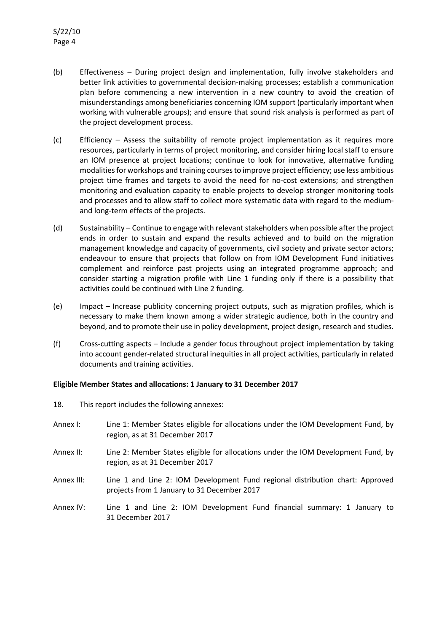- (b) Effectiveness During project design and implementation, fully involve stakeholders and better link activities to governmental decision-making processes; establish a communication plan before commencing a new intervention in a new country to avoid the creation of misunderstandings among beneficiaries concerning IOM support (particularly important when working with vulnerable groups); and ensure that sound risk analysis is performed as part of the project development process.
- (c) Efficiency Assess the suitability of remote project implementation as it requires more resources, particularly in terms of project monitoring, and consider hiring local staff to ensure an IOM presence at project locations; continue to look for innovative, alternative funding modalities for workshops and training courses to improve project efficiency; use less ambitious project time frames and targets to avoid the need for no-cost extensions; and strengthen monitoring and evaluation capacity to enable projects to develop stronger monitoring tools and processes and to allow staff to collect more systematic data with regard to the mediumand long-term effects of the projects.
- (d) Sustainability Continue to engage with relevant stakeholders when possible after the project ends in order to sustain and expand the results achieved and to build on the migration management knowledge and capacity of governments, civil society and private sector actors; endeavour to ensure that projects that follow on from IOM Development Fund initiatives complement and reinforce past projects using an integrated programme approach; and consider starting a migration profile with Line 1 funding only if there is a possibility that activities could be continued with Line 2 funding.
- (e) Impact Increase publicity concerning project outputs, such as migration profiles, which is necessary to make them known among a wider strategic audience, both in the country and beyond, and to promote their use in policy development, project design, research and studies.
- (f) Cross-cutting aspects Include a gender focus throughout project implementation by taking into account gender-related structural inequities in all project activities, particularly in related documents and training activities.

#### **Eligible Member States and allocations: 1 January to 31 December 2017**

- 18. This report includes the following annexes:
- Annex I: Line 1: Member States eligible for allocations under the IOM Development Fund, by region, as at 31 December 2017
- Annex II: Line 2: Member States eligible for allocations under the IOM Development Fund, by region, as at 31 December 2017
- Annex III: Line 1 and Line 2: IOM Development Fund regional distribution chart: Approved projects from 1 January to 31 December 2017
- Annex IV: Line 1 and Line 2: IOM Development Fund financial summary: 1 January to 31 December 2017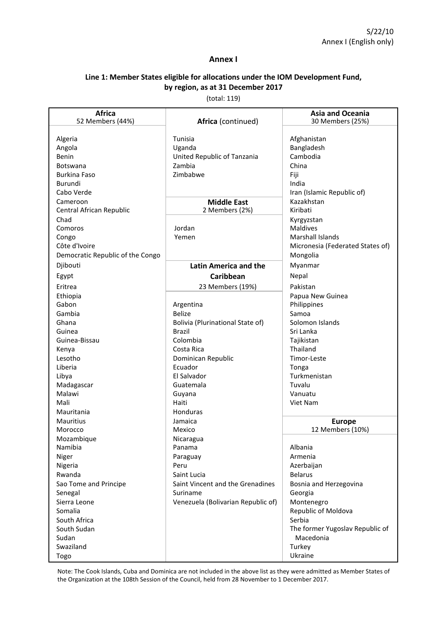#### **Annex I**

## **Line 1: Member States eligible for allocations under the IOM Development Fund, by region, as at 31 December 2017**

(total: 119)

| <b>Africa</b><br>52 Members (44%) | Africa (continued)                              | <b>Asia and Oceania</b><br>30 Members (25%)  |
|-----------------------------------|-------------------------------------------------|----------------------------------------------|
| Algeria                           | Tunisia                                         | Afghanistan                                  |
| Angola                            | Uganda                                          | Bangladesh                                   |
| Benin                             | United Republic of Tanzania                     | Cambodia                                     |
| <b>Botswana</b>                   | Zambia                                          | China                                        |
| <b>Burkina Faso</b>               | Zimbabwe                                        | Fiji                                         |
| Burundi                           |                                                 | India                                        |
| Cabo Verde                        |                                                 | Iran (Islamic Republic of)                   |
| Cameroon                          | <b>Middle East</b>                              | Kazakhstan                                   |
| Central African Republic          | 2 Members (2%)                                  | Kiribati                                     |
| Chad                              |                                                 | Kyrgyzstan                                   |
| Comoros                           | Jordan                                          | <b>Maldives</b>                              |
| Congo                             | Yemen                                           | Marshall Islands                             |
| Côte d'Ivoire                     |                                                 | Micronesia (Federated States of)             |
| Democratic Republic of the Congo  |                                                 | Mongolia                                     |
| Djibouti                          | <b>Latin America and the</b>                    | Myanmar                                      |
| Egypt                             | Caribbean                                       | Nepal                                        |
| Eritrea                           | 23 Members (19%)                                | Pakistan                                     |
| Ethiopia                          |                                                 | Papua New Guinea                             |
| Gabon                             | Argentina                                       | Philippines                                  |
| Gambia                            | <b>Belize</b>                                   | Samoa                                        |
| Ghana                             | <b>Bolivia (Plurinational State of)</b>         | Solomon Islands                              |
| Guinea                            | <b>Brazil</b>                                   | Sri Lanka                                    |
| Guinea-Bissau                     | Colombia                                        | Tajikistan                                   |
| Kenya                             | Costa Rica                                      | Thailand                                     |
| Lesotho                           | Dominican Republic                              | Timor-Leste                                  |
| Liberia                           | Ecuador                                         | Tonga                                        |
| Libya                             | El Salvador                                     | Turkmenistan                                 |
| Madagascar                        | Guatemala                                       | Tuvalu                                       |
| Malawi                            | Guyana                                          | Vanuatu                                      |
| Mali                              | Haiti                                           | Viet Nam                                     |
| Mauritania                        | Honduras                                        |                                              |
| Mauritius                         | Jamaica                                         | <b>Europe</b>                                |
| Morocco                           | Mexico                                          | 12 Members (10%)                             |
| Mozambique                        | Nicaragua                                       |                                              |
| Namibia                           | Panama                                          | Albania                                      |
| Niger                             | Paraguay<br>Peru                                | Armenia                                      |
| Nigeria                           |                                                 | Azerbaijan                                   |
| Rwanda                            | Saint Lucia<br>Saint Vincent and the Grenadines | <b>Belarus</b>                               |
| Sao Tome and Principe             |                                                 | Bosnia and Herzegovina                       |
| Senegal                           | Suriname                                        | Georgia                                      |
| Sierra Leone<br>Somalia           | Venezuela (Bolivarian Republic of)              | Montenegro                                   |
|                                   |                                                 | Republic of Moldova                          |
| South Africa                      |                                                 | Serbia                                       |
| South Sudan<br>Sudan              |                                                 | The former Yugoslav Republic of<br>Macedonia |
|                                   |                                                 |                                              |
| Swaziland                         |                                                 | Turkey                                       |
| Togo                              |                                                 | Ukraine                                      |

Note: The Cook Islands, Cuba and Dominica are not included in the above list as they were admitted as Member States of the Organization at the 108th Session of the Council, held from 28 November to 1 December 2017.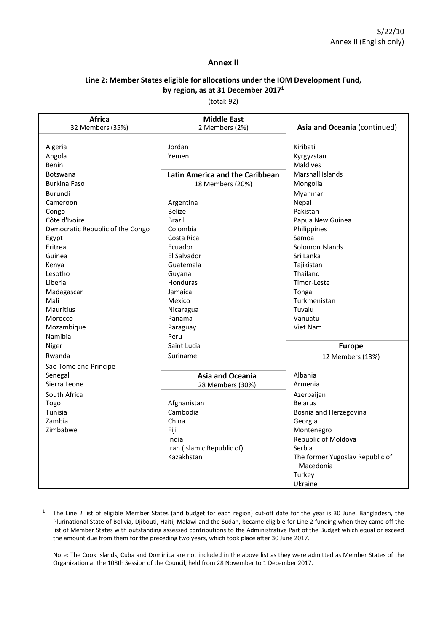#### **Annex II**

### **Line 2: Member States eligible for allocations under the IOM Development Fund, by region, as at 31 December 20171**

(total: 92)

| <b>Middle East</b>      |                                                                                                                                                           |
|-------------------------|-----------------------------------------------------------------------------------------------------------------------------------------------------------|
|                         | Asia and Oceania (continued)                                                                                                                              |
|                         |                                                                                                                                                           |
|                         | Kiribati                                                                                                                                                  |
|                         | Kyrgyzstan                                                                                                                                                |
|                         | <b>Maldives</b>                                                                                                                                           |
|                         | Marshall Islands                                                                                                                                          |
|                         | Mongolia                                                                                                                                                  |
|                         | Myanmar                                                                                                                                                   |
| Argentina               | Nepal                                                                                                                                                     |
| <b>Belize</b>           | Pakistan                                                                                                                                                  |
| <b>Brazil</b>           | Papua New Guinea                                                                                                                                          |
| Colombia                | Philippines                                                                                                                                               |
| Costa Rica              | Samoa                                                                                                                                                     |
| Ecuador                 | Solomon Islands                                                                                                                                           |
| El Salvador             | Sri Lanka                                                                                                                                                 |
| Guatemala               | Tajikistan                                                                                                                                                |
| Guyana                  | Thailand                                                                                                                                                  |
| Honduras                | Timor-Leste                                                                                                                                               |
| Jamaica                 | Tonga                                                                                                                                                     |
| Mexico                  | Turkmenistan                                                                                                                                              |
| Nicaragua               | Tuvalu                                                                                                                                                    |
| Panama                  | Vanuatu                                                                                                                                                   |
| Paraguay                | Viet Nam                                                                                                                                                  |
| Peru                    |                                                                                                                                                           |
| Saint Lucia             | <b>Europe</b>                                                                                                                                             |
| Suriname                | 12 Members (13%)                                                                                                                                          |
|                         |                                                                                                                                                           |
| <b>Asia and Oceania</b> | Albania                                                                                                                                                   |
|                         | Armenia                                                                                                                                                   |
|                         | Azerbaijan                                                                                                                                                |
| Afghanistan             | <b>Belarus</b>                                                                                                                                            |
| Cambodia                | Bosnia and Herzegovina                                                                                                                                    |
| China                   | Georgia                                                                                                                                                   |
|                         | Montenegro                                                                                                                                                |
| India                   | Republic of Moldova                                                                                                                                       |
|                         | Serbia                                                                                                                                                    |
| Kazakhstan              | The former Yugoslav Republic of                                                                                                                           |
|                         | Macedonia                                                                                                                                                 |
|                         | Turkey                                                                                                                                                    |
|                         | Ukraine                                                                                                                                                   |
|                         | 2 Members (2%)<br>Jordan<br>Yemen<br><b>Latin America and the Caribbean</b><br>18 Members (20%)<br>28 Members (30%)<br>Fiji<br>Iran (Islamic Republic of) |

<sup>&</sup>lt;sup>1</sup> The Line 2 list of eligible Member States (and budget for each region) cut-off date for the year is 30 June. Bangladesh, the Plurinational State of Bolivia, Djibouti, Haiti, Malawi and the Sudan, became eligible for Line 2 funding when they came off the list of Member States with outstanding assessed contributions to the Administrative Part of the Budget which equal or exceed the amount due from them for the preceding two years, which took place after 30 June 2017.

\_\_\_\_\_\_\_\_\_\_\_\_\_\_\_\_\_\_\_\_\_\_\_\_\_\_\_\_\_\_\_

Note: The Cook Islands, Cuba and Dominica are not included in the above list as they were admitted as Member States of the Organization at the 108th Session of the Council, held from 28 November to 1 December 2017.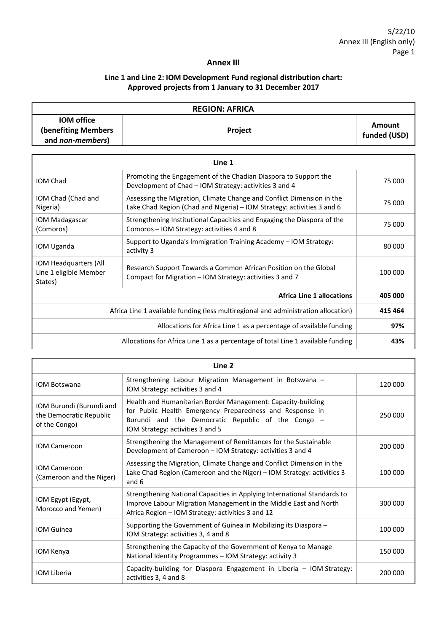### **Annex III**

### **Line 1 and Line 2: IOM Development Fund regional distribution chart: Approved projects from 1 January to 31 December 2017**

|                                                                      | <b>REGION: AFRICA</b> |                        |
|----------------------------------------------------------------------|-----------------------|------------------------|
| <b>IOM</b> office<br>(benefiting Members<br>and <i>non-members</i> ) | <b>Project</b>        | Amount<br>funded (USD) |

| Line 1                                                     |                                                                                                                                                 |         |
|------------------------------------------------------------|-------------------------------------------------------------------------------------------------------------------------------------------------|---------|
| <b>IOM Chad</b>                                            | Promoting the Engagement of the Chadian Diaspora to Support the<br>Development of Chad – IOM Strategy: activities 3 and 4                       | 75 000  |
| IOM Chad (Chad and<br>Nigeria)                             | Assessing the Migration, Climate Change and Conflict Dimension in the<br>Lake Chad Region (Chad and Nigeria) – IOM Strategy: activities 3 and 6 | 75 000  |
| IOM Madagascar<br>(Comoros)                                | Strengthening Institutional Capacities and Engaging the Diaspora of the<br>Comoros – IOM Strategy: activities 4 and 8                           | 75 000  |
| IOM Uganda                                                 | Support to Uganda's Immigration Training Academy - IOM Strategy:<br>activity 3                                                                  | 80 000  |
| IOM Headquarters (All<br>Line 1 eligible Member<br>States) | Research Support Towards a Common African Position on the Global<br>Compact for Migration – IOM Strategy: activities 3 and 7                    | 100 000 |
|                                                            | <b>Africa Line 1 allocations</b>                                                                                                                | 405 000 |
|                                                            | Africa Line 1 available funding (less multiregional and administration allocation)                                                              | 415 464 |
|                                                            | Allocations for Africa Line 1 as a percentage of available funding                                                                              | 97%     |
|                                                            | Allocations for Africa Line 1 as a percentage of total Line 1 available funding                                                                 | 43%     |

| Line 2                                                               |                                                                                                                                                                                                                    |         |
|----------------------------------------------------------------------|--------------------------------------------------------------------------------------------------------------------------------------------------------------------------------------------------------------------|---------|
| <b>IOM Botswana</b>                                                  | Strengthening Labour Migration Management in Botswana -<br>IOM Strategy: activities 3 and 4                                                                                                                        | 120 000 |
| IOM Burundi (Burundi and<br>the Democratic Republic<br>of the Congo) | Health and Humanitarian Border Management: Capacity-building<br>for Public Health Emergency Preparedness and Response in<br>Burundi and the Democratic Republic of the Congo -<br>IOM Strategy: activities 3 and 5 | 250 000 |
| <b>IOM Cameroon</b>                                                  | Strengthening the Management of Remittances for the Sustainable<br>Development of Cameroon - IOM Strategy: activities 3 and 4                                                                                      | 200 000 |
| <b>IOM Cameroon</b><br>(Cameroon and the Niger)                      | Assessing the Migration, Climate Change and Conflict Dimension in the<br>Lake Chad Region (Cameroon and the Niger) - IOM Strategy: activities 3<br>and 6                                                           | 100 000 |
| IOM Egypt (Egypt,<br>Morocco and Yemen)                              | Strengthening National Capacities in Applying International Standards to<br>Improve Labour Migration Management in the Middle East and North<br>Africa Region – IOM Strategy: activities 3 and 12                  | 300 000 |
| <b>IOM Guinea</b>                                                    | Supporting the Government of Guinea in Mobilizing its Diaspora -<br>IOM Strategy: activities 3, 4 and 8                                                                                                            | 100 000 |
| IOM Kenya                                                            | Strengthening the Capacity of the Government of Kenya to Manage<br>National Identity Programmes - IOM Strategy: activity 3                                                                                         | 150 000 |
| <b>IOM Liberia</b>                                                   | Capacity-building for Diaspora Engagement in Liberia - IOM Strategy:<br>activities 3, 4 and 8                                                                                                                      | 200 000 |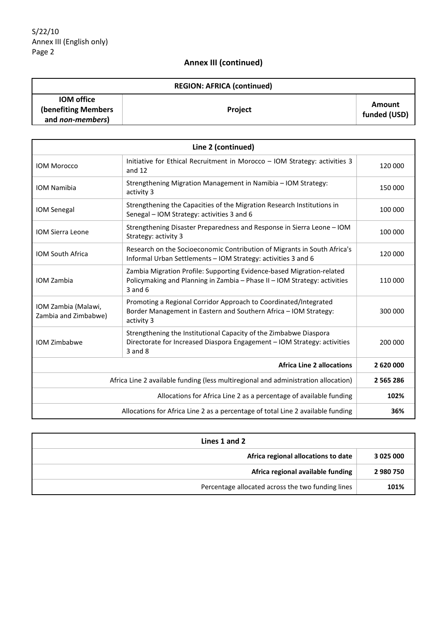| <b>REGION: AFRICA (continued)</b>                                    |                |                        |
|----------------------------------------------------------------------|----------------|------------------------|
| <b>IOM</b> office<br>(benefiting Members<br>and <i>non-members</i> ) | <b>Project</b> | Amount<br>funded (USD) |
|                                                                      |                |                        |

| Line 2 (continued)                                                                 |                                                                                                                                                                   |               |
|------------------------------------------------------------------------------------|-------------------------------------------------------------------------------------------------------------------------------------------------------------------|---------------|
| <b>IOM Morocco</b>                                                                 | Initiative for Ethical Recruitment in Morocco - IOM Strategy: activities 3<br>and $12$                                                                            | 120 000       |
| <b>IOM Namibia</b>                                                                 | Strengthening Migration Management in Namibia - IOM Strategy:<br>activity 3                                                                                       | 150 000       |
| IOM Senegal                                                                        | Strengthening the Capacities of the Migration Research Institutions in<br>Senegal - IOM Strategy: activities 3 and 6                                              | 100 000       |
| <b>IOM Sierra Leone</b>                                                            | Strengthening Disaster Preparedness and Response in Sierra Leone - IOM<br>Strategy: activity 3                                                                    | 100 000       |
| <b>IOM South Africa</b>                                                            | Research on the Socioeconomic Contribution of Migrants in South Africa's<br>Informal Urban Settlements - IOM Strategy: activities 3 and 6                         | 120 000       |
| <b>IOM Zambia</b>                                                                  | Zambia Migration Profile: Supporting Evidence-based Migration-related<br>Policymaking and Planning in Zambia - Phase II - IOM Strategy: activities<br>$3$ and $6$ | 110 000       |
| IOM Zambia (Malawi,<br>Zambia and Zimbabwe)                                        | Promoting a Regional Corridor Approach to Coordinated/Integrated<br>Border Management in Eastern and Southern Africa - IOM Strategy:<br>activity 3                | 300 000       |
| <b>IOM Zimbabwe</b>                                                                | Strengthening the Institutional Capacity of the Zimbabwe Diaspora<br>Directorate for Increased Diaspora Engagement - IOM Strategy: activities<br>$3$ and $8$      | 200 000       |
| <b>Africa Line 2 allocations</b>                                                   |                                                                                                                                                                   | 2 620 000     |
| Africa Line 2 available funding (less multiregional and administration allocation) |                                                                                                                                                                   | 2 5 6 5 2 8 6 |
| Allocations for Africa Line 2 as a percentage of available funding                 |                                                                                                                                                                   | 102%          |
| Allocations for Africa Line 2 as a percentage of total Line 2 available funding    |                                                                                                                                                                   | 36%           |

| Lines 1 and 2                                     |           |  |
|---------------------------------------------------|-----------|--|
| Africa regional allocations to date               | 3 025 000 |  |
| Africa regional available funding                 | 2 980 750 |  |
| Percentage allocated across the two funding lines | 101%      |  |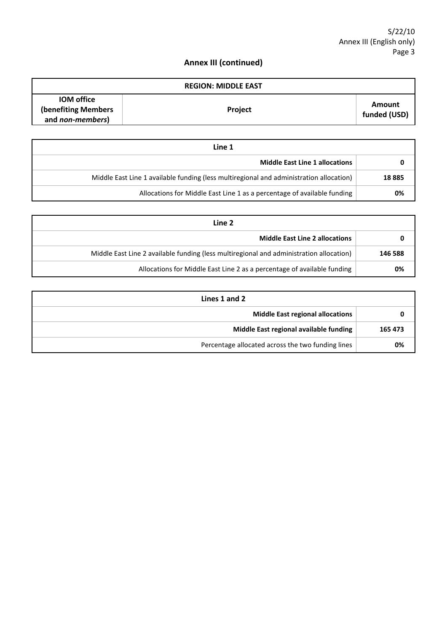### S/22/10 Annex III (English only) Page 3

| <b>REGION: MIDDLE EAST</b>                                           |                |                        |
|----------------------------------------------------------------------|----------------|------------------------|
| <b>IOM</b> office<br>(benefiting Members<br>and <i>non-members</i> ) | <b>Project</b> | Amount<br>funded (USD) |

|       | Line 1                                                                                  |
|-------|-----------------------------------------------------------------------------------------|
|       | <b>Middle East Line 1 allocations</b>                                                   |
| 18885 | Middle East Line 1 available funding (less multiregional and administration allocation) |
| 0%    | Allocations for Middle East Line 1 as a percentage of available funding                 |

| Line 2                                                                                  |         |
|-----------------------------------------------------------------------------------------|---------|
| <b>Middle East Line 2 allocations</b>                                                   |         |
| Middle East Line 2 available funding (less multiregional and administration allocation) | 146 588 |
| Allocations for Middle East Line 2 as a percentage of available funding                 | 0%      |

| Lines 1 and 2                                     |         |
|---------------------------------------------------|---------|
| <b>Middle East regional allocations</b>           |         |
| Middle East regional available funding            | 165 473 |
| Percentage allocated across the two funding lines | 0%      |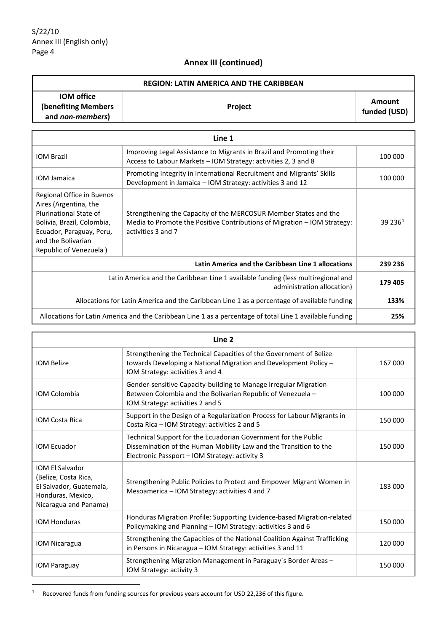| <b>REGION: LATIN AMERICA AND THE CARIBBEAN</b>                                                                                                                                                                                                                                                                                                               |                                                                                                                                        |                        |
|--------------------------------------------------------------------------------------------------------------------------------------------------------------------------------------------------------------------------------------------------------------------------------------------------------------------------------------------------------------|----------------------------------------------------------------------------------------------------------------------------------------|------------------------|
| <b>IOM</b> office<br><b>(benefiting Members</b><br>Project<br>and <i>non-members</i> )                                                                                                                                                                                                                                                                       |                                                                                                                                        | Amount<br>funded (USD) |
|                                                                                                                                                                                                                                                                                                                                                              | Line 1                                                                                                                                 |                        |
|                                                                                                                                                                                                                                                                                                                                                              |                                                                                                                                        |                        |
| <b>IOM Brazil</b>                                                                                                                                                                                                                                                                                                                                            | Improving Legal Assistance to Migrants in Brazil and Promoting their<br>Access to Labour Markets - IOM Strategy: activities 2, 3 and 8 | 100 000                |
| <b>IOM Jamaica</b>                                                                                                                                                                                                                                                                                                                                           | Promoting Integrity in International Recruitment and Migrants' Skills<br>Development in Jamaica - IOM Strategy: activities 3 and 12    | 100 000                |
| Regional Office in Buenos<br>Aires (Argentina, the<br>Plurinational State of<br>Strengthening the Capacity of the MERCOSUR Member States and the<br>Bolivia, Brazil, Colombia,<br>Media to Promote the Positive Contributions of Migration – IOM Strategy:<br>activities 3 and 7<br>Ecuador, Paraguay, Peru,<br>and the Bolivarian<br>Republic of Venezuela) |                                                                                                                                        | 39 236 <sup>1</sup>    |
| Latin America and the Caribbean Line 1 allocations<br>239 236                                                                                                                                                                                                                                                                                                |                                                                                                                                        |                        |
| Latin America and the Caribbean Line 1 available funding (less multiregional and<br>administration allocation)                                                                                                                                                                                                                                               |                                                                                                                                        | 179 405                |
| Allocations for Latin America and the Caribbean Line 1 as a percentage of available funding                                                                                                                                                                                                                                                                  |                                                                                                                                        | 133%                   |
| Allocations for Latin America and the Caribbean Line 1 as a percentage of total Line 1 available funding<br>25%                                                                                                                                                                                                                                              |                                                                                                                                        |                        |

| Line 2                                                                                                                                                                                                                                             |                                                                                                                                                                                       |         |
|----------------------------------------------------------------------------------------------------------------------------------------------------------------------------------------------------------------------------------------------------|---------------------------------------------------------------------------------------------------------------------------------------------------------------------------------------|---------|
| Strengthening the Technical Capacities of the Government of Belize<br><b>IOM Belize</b><br>towards Developing a National Migration and Development Policy -<br>IOM Strategy: activities 3 and 4                                                    |                                                                                                                                                                                       | 167000  |
| <b>IOM Colombia</b>                                                                                                                                                                                                                                | Gender-sensitive Capacity-building to Manage Irregular Migration<br>Between Colombia and the Bolivarian Republic of Venezuela -<br>IOM Strategy: activities 2 and 5                   | 100 000 |
| <b>IOM Costa Rica</b>                                                                                                                                                                                                                              | Support in the Design of a Regularization Process for Labour Migrants in<br>Costa Rica – IOM Strategy: activities 2 and 5                                                             | 150 000 |
| <b>IOM Ecuador</b>                                                                                                                                                                                                                                 | Technical Support for the Ecuadorian Government for the Public<br>Dissemination of the Human Mobility Law and the Transition to the<br>Electronic Passport - IOM Strategy: activity 3 |         |
| <b>IOM El Salvador</b><br>(Belize, Costa Rica,<br>Strengthening Public Policies to Protect and Empower Migrant Women in<br>El Salvador, Guatemala,<br>Mesoamerica - IOM Strategy: activities 4 and 7<br>Honduras, Mexico,<br>Nicaragua and Panama) |                                                                                                                                                                                       | 183 000 |
| <b>IOM Honduras</b>                                                                                                                                                                                                                                | Honduras Migration Profile: Supporting Evidence-based Migration-related<br>Policymaking and Planning - IOM Strategy: activities 3 and 6                                               | 150 000 |
| <b>IOM Nicaragua</b>                                                                                                                                                                                                                               | Strengthening the Capacities of the National Coalition Against Trafficking<br>in Persons in Nicaragua - IOM Strategy: activities 3 and 11                                             | 120 000 |
| <b>IOM Paraguay</b>                                                                                                                                                                                                                                | Strengthening Migration Management in Paraguay's Border Areas -<br>IOM Strategy: activity 3                                                                                           | 150 000 |

<span id="page-13-0"></span>1 Recovered funds from funding sources for previous years account for USD 22,236 of this figure.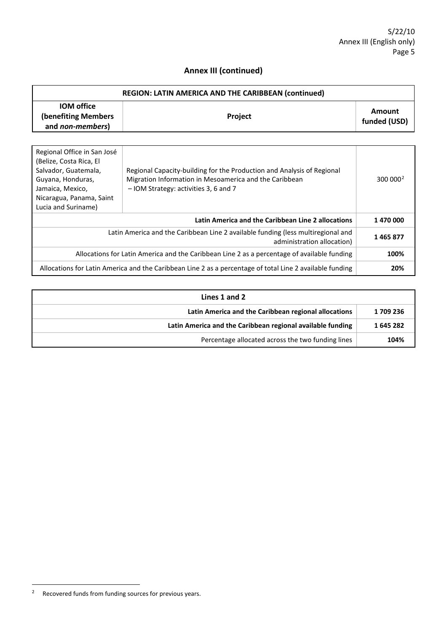### S/22/10 Annex III (English only) Page 5

| <b>REGION: LATIN AMERICA AND THE CARIBBEAN (continued)</b>           |                |                        |
|----------------------------------------------------------------------|----------------|------------------------|
| <b>IOM</b> office<br>(benefiting Members<br>and <i>non-members</i> ) | <b>Project</b> | Amount<br>funded (USD) |

| Regional Office in San José<br>(Belize, Costa Rica, El<br>Salvador, Guatemala,<br>Regional Capacity-building for the Production and Analysis of Regional<br>Migration Information in Mesoamerica and the Caribbean<br>Guyana, Honduras,<br>- IOM Strategy: activities 3, 6 and 7<br>Jamaica, Mexico,<br>Nicaragua, Panama, Saint<br>Lucia and Suriname) |                                                    | 300000 <sup>2</sup> |
|---------------------------------------------------------------------------------------------------------------------------------------------------------------------------------------------------------------------------------------------------------------------------------------------------------------------------------------------------------|----------------------------------------------------|---------------------|
|                                                                                                                                                                                                                                                                                                                                                         | Latin America and the Caribbean Line 2 allocations | 1470000             |
| Latin America and the Caribbean Line 2 available funding (less multiregional and<br>administration allocation)                                                                                                                                                                                                                                          |                                                    | 1465877             |
| Allocations for Latin America and the Caribbean Line 2 as a percentage of available funding                                                                                                                                                                                                                                                             |                                                    | 100%                |
| Allocations for Latin America and the Caribbean Line 2 as a percentage of total Line 2 available funding                                                                                                                                                                                                                                                |                                                    | 20%                 |

| Lines 1 and 2                                                    |         |
|------------------------------------------------------------------|---------|
| Latin America and the Caribbean regional allocations<br>1709 236 |         |
| Latin America and the Caribbean regional available funding       | 1645282 |
| Percentage allocated across the two funding lines                | 104%    |

<span id="page-14-0"></span> <sup>2</sup> Recovered funds from funding sources for previous years.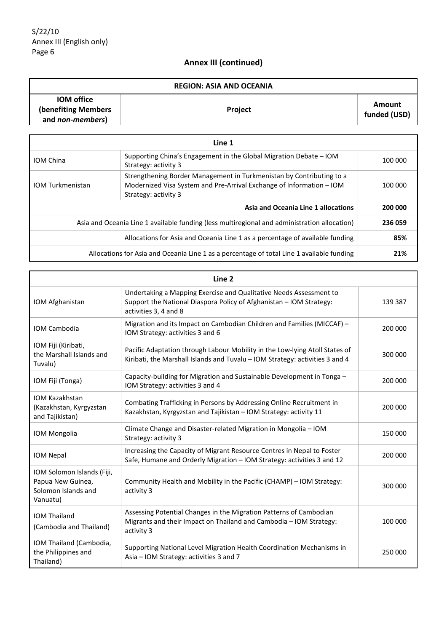|                                                              | <b>REGION: ASIA AND OCEANIA</b>                                                                       |                               |
|--------------------------------------------------------------|-------------------------------------------------------------------------------------------------------|-------------------------------|
| <b>IOM</b> office<br>(benefiting Members<br>and non-members) | Project                                                                                               | <b>Amount</b><br>funded (USD) |
|                                                              | Line 1                                                                                                |                               |
| <b>IOM China</b>                                             | Supporting China's Engagement in the Global Migration Debate - IOM<br>$C+$ <i>ratomu</i> osthutru $2$ | 100 000                       |

| IOM China<br>Strategy: activity 3                                                                                                                                                               |                                                                                              | 100 000 |
|-------------------------------------------------------------------------------------------------------------------------------------------------------------------------------------------------|----------------------------------------------------------------------------------------------|---------|
| Strengthening Border Management in Turkmenistan by Contributing to a<br>Modernized Visa System and Pre-Arrival Exchange of Information - IOM<br><b>IOM Turkmenistan</b><br>Strategy: activity 3 |                                                                                              | 100 000 |
| Asia and Oceania Line 1 allocations                                                                                                                                                             |                                                                                              | 200 000 |
|                                                                                                                                                                                                 | Asia and Oceania Line 1 available funding (less multiregional and administration allocation) | 236 059 |
| Allocations for Asia and Oceania Line 1 as a percentage of available funding                                                                                                                    |                                                                                              | 85%     |
| Allocations for Asia and Oceania Line 1 as a percentage of total Line 1 available funding                                                                                                       |                                                                                              | 21%     |

| Line <sub>2</sub>                                                                                                                                                               |                                                                                                                                                                    |         |
|---------------------------------------------------------------------------------------------------------------------------------------------------------------------------------|--------------------------------------------------------------------------------------------------------------------------------------------------------------------|---------|
| IOM Afghanistan                                                                                                                                                                 | Undertaking a Mapping Exercise and Qualitative Needs Assessment to<br>Support the National Diaspora Policy of Afghanistan - IOM Strategy:<br>activities 3, 4 and 8 |         |
| <b>IOM Cambodia</b>                                                                                                                                                             | Migration and its Impact on Cambodian Children and Families (MICCAF) -<br>IOM Strategy: activities 3 and 6                                                         | 200 000 |
| IOM Fiji (Kiribati,<br>the Marshall Islands and<br>Tuvalu)                                                                                                                      | Pacific Adaptation through Labour Mobility in the Low-lying Atoll States of<br>Kiribati, the Marshall Islands and Tuvalu - IOM Strategy: activities 3 and 4        | 300 000 |
| IOM Fiji (Tonga)                                                                                                                                                                | Capacity-building for Migration and Sustainable Development in Tonga -<br>IOM Strategy: activities 3 and 4                                                         | 200 000 |
| <b>IOM Kazakhstan</b><br>(Kazakhstan, Kyrgyzstan<br>and Tajikistan)                                                                                                             | Combating Trafficking in Persons by Addressing Online Recruitment in<br>Kazakhstan, Kyrgyzstan and Tajikistan - IOM Strategy: activity 11                          |         |
| IOM Mongolia                                                                                                                                                                    | Climate Change and Disaster-related Migration in Mongolia - IOM<br>Strategy: activity 3                                                                            |         |
| <b>IOM Nepal</b>                                                                                                                                                                | Increasing the Capacity of Migrant Resource Centres in Nepal to Foster<br>Safe, Humane and Orderly Migration - IOM Strategy: activities 3 and 12                   |         |
| IOM Solomon Islands (Fiji,<br>Papua New Guinea,<br>Community Health and Mobility in the Pacific (CHAMP) - IOM Strategy:<br>Solomon Islands and<br>activity 3<br>Vanuatu)        |                                                                                                                                                                    | 300 000 |
| <b>IOM Thailand</b><br>(Cambodia and Thailand)                                                                                                                                  | Assessing Potential Changes in the Migration Patterns of Cambodian<br>Migrants and their Impact on Thailand and Cambodia - IOM Strategy:<br>activity 3             |         |
| IOM Thailand (Cambodia,<br>Supporting National Level Migration Health Coordination Mechanisms in<br>the Philippines and<br>Asia - IOM Strategy: activities 3 and 7<br>Thailand) |                                                                                                                                                                    | 250 000 |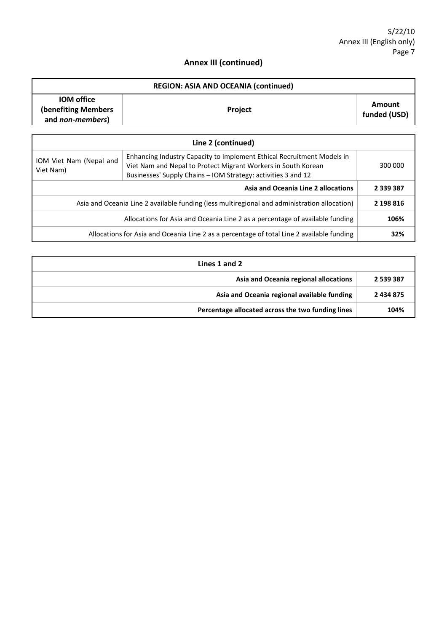| <b>REGION: ASIA AND OCEANIA (continued)</b>                                                                                                                                                                                                                 |  |                        |
|-------------------------------------------------------------------------------------------------------------------------------------------------------------------------------------------------------------------------------------------------------------|--|------------------------|
| <b>IOM</b> office<br><b>(benefiting Members</b><br>Project<br>and <i>non-members</i> )                                                                                                                                                                      |  | Amount<br>funded (USD) |
|                                                                                                                                                                                                                                                             |  |                        |
| Line 2 (continued)                                                                                                                                                                                                                                          |  |                        |
| Enhancing Industry Capacity to Implement Ethical Recruitment Models in<br>IOM Viet Nam (Nepal and<br>Viet Nam and Nepal to Protect Migrant Workers in South Korean<br>300 000<br>Viet Nam)<br>Businesses' Supply Chains - IOM Strategy: activities 3 and 12 |  |                        |
| Asia and Oceania Line 2 allocations                                                                                                                                                                                                                         |  | 2 3 3 3 3 8 7          |
| Asia and Oceania Line 2 available funding (less multiregional and administration allocation)                                                                                                                                                                |  | 2 198 816              |

| Allocations for Asia and Oceania Line 2 as a percentage of available funding              |     |
|-------------------------------------------------------------------------------------------|-----|
| Allocations for Asia and Oceania Line 2 as a percentage of total Line 2 available funding | 32% |
|                                                                                           |     |

| Lines 1 and 2                                      |           |
|----------------------------------------------------|-----------|
| Asia and Oceania regional allocations<br>2 539 387 |           |
| Asia and Oceania regional available funding        | 2 434 875 |
| Percentage allocated across the two funding lines  | 104%      |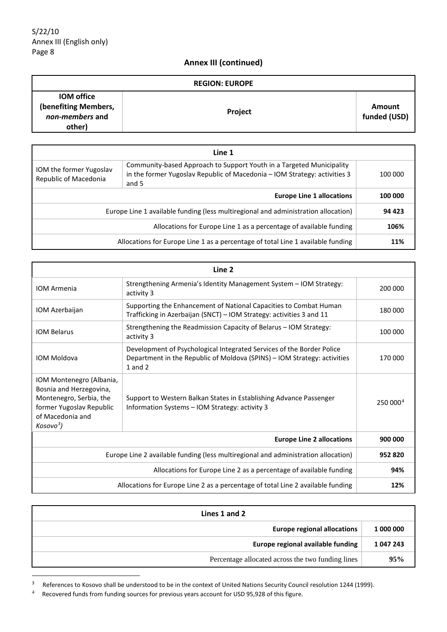| <b>REGION: EUROPE</b>                                                  |                |                               |
|------------------------------------------------------------------------|----------------|-------------------------------|
| <b>IOM</b> office<br>(benefiting Members,<br>non-members and<br>other) | <b>Project</b> | <b>Amount</b><br>funded (USD) |

| Line 1                                                                             |                                                                                                                                                                       |         |
|------------------------------------------------------------------------------------|-----------------------------------------------------------------------------------------------------------------------------------------------------------------------|---------|
| IOM the former Yugoslav<br>Republic of Macedonia                                   | Community-based Approach to Support Youth in a Targeted Municipality<br>in the former Yugoslav Republic of Macedonia - IOM Strategy: activities 3<br>100 000<br>and 5 |         |
|                                                                                    | <b>Europe Line 1 allocations</b>                                                                                                                                      | 100 000 |
| Europe Line 1 available funding (less multiregional and administration allocation) |                                                                                                                                                                       | 94 4 23 |
|                                                                                    | Allocations for Europe Line 1 as a percentage of available funding                                                                                                    | 106%    |
|                                                                                    | Allocations for Europe Line 1 as a percentage of total Line 1 available funding                                                                                       | 11%     |

| Line <sub>2</sub>                                                                                                                                                                                                                                                               |                                                                                                                                                                  |                      |
|---------------------------------------------------------------------------------------------------------------------------------------------------------------------------------------------------------------------------------------------------------------------------------|------------------------------------------------------------------------------------------------------------------------------------------------------------------|----------------------|
| <b>IOM Armenia</b>                                                                                                                                                                                                                                                              | Strengthening Armenia's Identity Management System - IOM Strategy:<br>activity 3                                                                                 | 200 000              |
| IOM Azerbaijan                                                                                                                                                                                                                                                                  | Supporting the Enhancement of National Capacities to Combat Human<br>Trafficking in Azerbaijan (SNCT) - IOM Strategy: activities 3 and 11                        | 180 000              |
| <b>IOM Belarus</b>                                                                                                                                                                                                                                                              | Strengthening the Readmission Capacity of Belarus – IOM Strategy:<br>activity 3                                                                                  | 100 000              |
| <b>IOM Moldova</b>                                                                                                                                                                                                                                                              | Development of Psychological Integrated Services of the Border Police<br>Department in the Republic of Moldova (SPINS) - IOM Strategy: activities<br>$1$ and $2$ | 170 000              |
| IOM Montenegro (Albania,<br>Bosnia and Herzegovina,<br>Montenegro, Serbia, the<br>Support to Western Balkan States in Establishing Advance Passenger<br>former Yugoslav Republic<br>Information Systems - IOM Strategy: activity 3<br>of Macedonia and<br>Kosovo <sup>3</sup> ) |                                                                                                                                                                  | 250 000 <sup>4</sup> |
|                                                                                                                                                                                                                                                                                 | <b>Europe Line 2 allocations</b>                                                                                                                                 | 900 000              |
| Europe Line 2 available funding (less multiregional and administration allocation)                                                                                                                                                                                              |                                                                                                                                                                  | 952820               |
|                                                                                                                                                                                                                                                                                 | Allocations for Europe Line 2 as a percentage of available funding                                                                                               | 94%                  |
| Allocations for Europe Line 2 as a percentage of total Line 2 available funding                                                                                                                                                                                                 |                                                                                                                                                                  | 12%                  |

| Lines 1 and 2                                     |           |
|---------------------------------------------------|-----------|
|                                                   | 1 000 000 |
| <b>Europe regional allocations</b>                |           |
| <b>Europe regional available funding</b>          | 1 047 243 |
| Percentage allocated across the two funding lines | 95%       |

<span id="page-17-1"></span><span id="page-17-0"></span><sup>&</sup>lt;sup>3</sup> References to Kosovo shall be understood to be in the context of United Nations Security Council resolution 1244 (1999).<br><sup>4</sup> Recovered funds from funding sources for previous vears account for USD 95.928 of this figure

Recovered funds from funding sources for previous years account for USD 95,928 of this figure.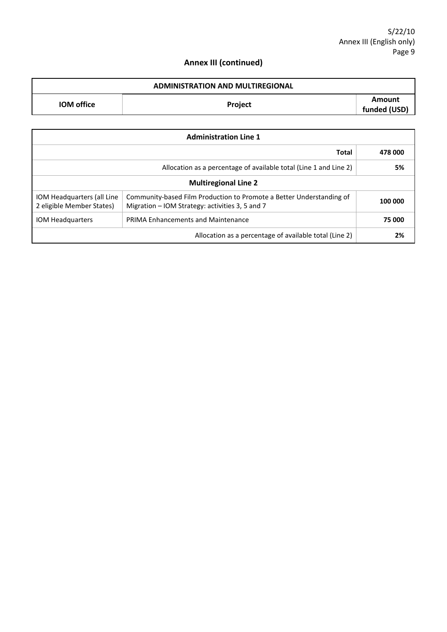| <b>ADMINISTRATION AND MULTIREGIONAL</b> |                |                        |
|-----------------------------------------|----------------|------------------------|
| <b>IOM</b> office                       | <b>Project</b> | Amount<br>funded (USD) |

| <b>Administration Line 1</b>                            |                                                                                                                         |         |
|---------------------------------------------------------|-------------------------------------------------------------------------------------------------------------------------|---------|
|                                                         | Total                                                                                                                   | 478 000 |
|                                                         | Allocation as a percentage of available total (Line 1 and Line 2)                                                       | 5%      |
| <b>Multiregional Line 2</b>                             |                                                                                                                         |         |
| IOM Headquarters (all Line<br>2 eligible Member States) | Community-based Film Production to Promote a Better Understanding of<br>Migration – IOM Strategy: activities 3, 5 and 7 | 100 000 |
| <b>IOM Headquarters</b>                                 | <b>PRIMA Enhancements and Maintenance</b>                                                                               | 75 000  |
|                                                         | Allocation as a percentage of available total (Line 2)                                                                  | 2%      |